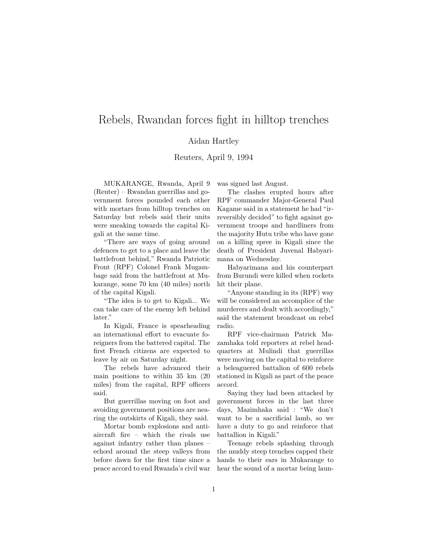## Rebels, Rwandan forces fight in hilltop trenches

## Aidan Hartley

## Reuters, April 9, 1994

MUKARANGE, Rwanda, April 9 (Reuter) – Rwandan guerrillas and government forces pounded each other with mortars from hilltop trenches on Saturday but rebels said their units were sneaking towards the capital Kigali at the same time.

"There are ways of going around defences to get to a place and leave the battlefront behind," Rwanda Patriotic Front (RPF) Colonel Frank Mugambage said from the battlefront at Mukarange, some 70 km (40 miles) north of the capital Kigali.

"The idea is to get to Kigali... We can take care of the enemy left behind later."

In Kigali, France is spearheading an international effort to evacuate foreigners from the battered capital. The first French citizens are expected to leave by air on Saturday night.

The rebels have advanced their main positions to within 35 km (20 miles) from the capital, RPF officers said.

But guerrillas moving on foot and avoiding government positions are nearing the outskirts of Kigali, they said.

Mortar bomb explosions and antiaircraft fire – which the rivals use against infantry rather than planes – echœd around the steep valleys from before dawn for the first time since a peace accord to end Rwanda's civil war

was signed last August.

The clashes erupted hours after RPF commander Major-General Paul Kagame said in a statement he had "irreversibly decided" to fight against government troops and hardliners from the majority Hutu tribe who have gone on a killing spree in Kigali since the death of President Juvenal Habyarimana on Wednesday.

Habyarimana and his counterpart from Burundi were killed when rockets hit their plane.

"Anyone standing in its (RPF) way will be considered an accomplice of the murderers and dealt with accordingly," said the statement broadcast on rebel radio.

RPF vice-chairman Patrick Mazamhaka told reporters at rebel headquarters at Mulindi that guerrillas were moving on the capital to reinforce a beleaguered battalion of 600 rebels stationed in Kigali as part of the peace accord.

Saying they had been attacked by government forces in the last three days, Mazimhaka said : "We don't want to be a sacrificial lamb, so we have a duty to go and reinforce that battallion in Kigali."

Teenage rebels splashing through the muddy steep trenches capped their hands to their ears in Mukarange to hear the sound of a mortar being laun